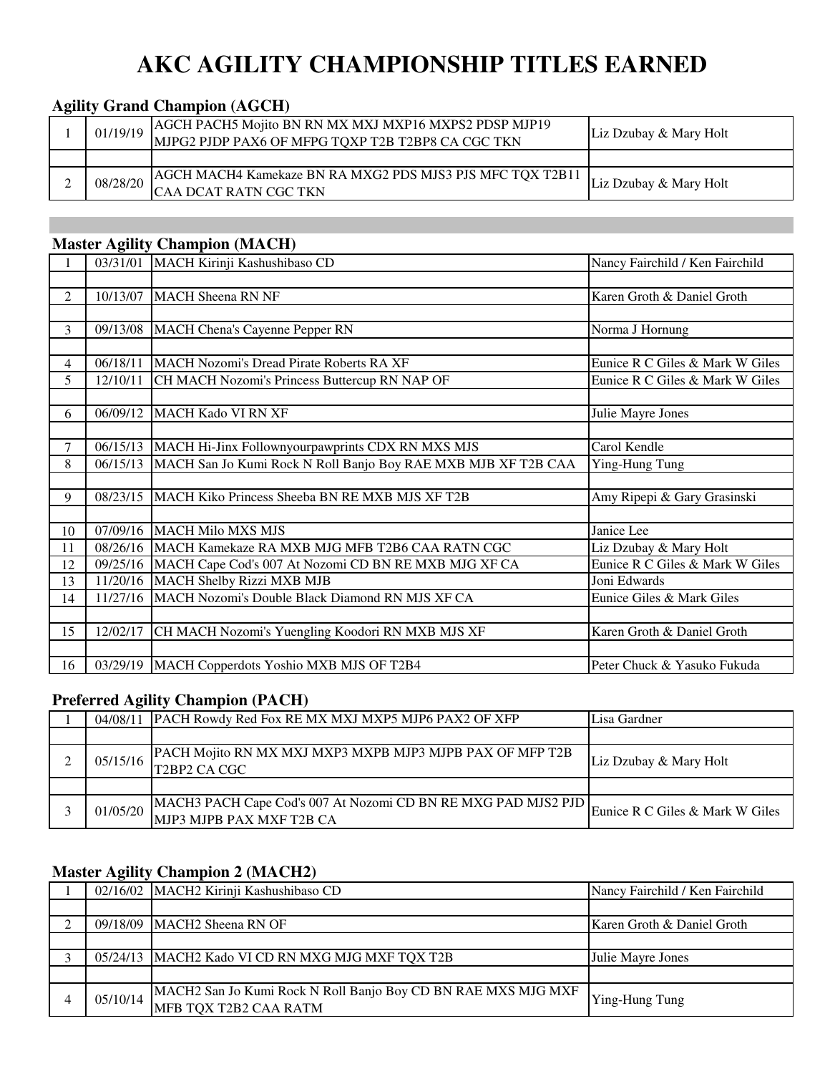# **AKC AGILITY CHAMPIONSHIP TITLES EARNED**

## **Agility Grand Champion (AGCH)**

| 01/19/19 | AGCH PACH5 Mojito BN RN MX MXJ MXP16 MXPS2 PDSP MJP19<br>MJPG2 PJDP PAX6 OF MFPG TQXP T2B T2BP8 CA CGC TKN | Liz Dzubay & Mary Holt |
|----------|------------------------------------------------------------------------------------------------------------|------------------------|
|          |                                                                                                            |                        |
| 08/28/20 | AGCH MACH4 Kamekaze BN RA MXG2 PDS MJS3 PJS MFC TQX T2B11<br><b>ICAA DCAT RATN CGC TKN</b>                 | Liz Dzubay & Mary Holt |

## **Master Agility Champion (MACH)**

|                |          | 03/31/01 MACH Kirinji Kashushibaso CD                         | Nancy Fairchild / Ken Fairchild |
|----------------|----------|---------------------------------------------------------------|---------------------------------|
|                |          |                                                               |                                 |
| $\overline{2}$ | 10/13/07 | <b>MACH Sheena RN NF</b>                                      | Karen Groth & Daniel Groth      |
|                |          |                                                               |                                 |
| $\overline{3}$ | 09/13/08 | MACH Chena's Cayenne Pepper RN                                | Norma J Hornung                 |
|                |          |                                                               |                                 |
| $\overline{4}$ | 06/18/11 | MACH Nozomi's Dread Pirate Roberts RA XF                      | Eunice R C Giles & Mark W Giles |
| 5              | 12/10/11 | CH MACH Nozomi's Princess Buttercup RN NAP OF                 | Eunice R C Giles & Mark W Giles |
|                |          |                                                               |                                 |
| 6              | 06/09/12 | <b>MACH Kado VI RN XF</b>                                     | Julie Mayre Jones               |
|                |          |                                                               |                                 |
| $\tau$         | 06/15/13 | MACH Hi-Jinx Follownyourpawprints CDX RN MXS MJS              | Carol Kendle                    |
| 8              | 06/15/13 | MACH San Jo Kumi Rock N Roll Banjo Boy RAE MXB MJB XF T2B CAA | Ying-Hung Tung                  |
|                |          |                                                               |                                 |
| 9              | 08/23/15 | MACH Kiko Princess Sheeba BN RE MXB MJS XF T2B                | Amy Ripepi & Gary Grasinski     |
|                |          |                                                               |                                 |
| 10             |          | 07/09/16 MACH Milo MXS MJS                                    | Janice Lee                      |
| 11             |          | 08/26/16 MACH Kamekaze RA MXB MJG MFB T2B6 CAA RATN CGC       | Liz Dzubay & Mary Holt          |
| 12             |          | 09/25/16 MACH Cape Cod's 007 At Nozomi CD BN RE MXB MJG XF CA | Eunice R C Giles & Mark W Giles |
| 13             |          | 11/20/16 MACH Shelby Rizzi MXB MJB                            | Joni Edwards                    |
| 14             | 11/27/16 | MACH Nozomi's Double Black Diamond RN MJS XF CA               | Eunice Giles & Mark Giles       |
|                |          |                                                               |                                 |
| 15             | 12/02/17 | CH MACH Nozomi's Yuengling Koodori RN MXB MJS XF              | Karen Groth & Daniel Groth      |
|                |          |                                                               |                                 |
| 16             |          | 03/29/19   MACH Copperdots Yoshio MXB MJS OF T2B4             | Peter Chuck & Yasuko Fukuda     |

#### **Preferred Agility Champion (PACH)**

| 04/08/11 | PACH Rowdy Red Fox RE MX MXJ MXP5 MJP6 PAX2 OF XFP                                                | Lisa Gardner                    |
|----------|---------------------------------------------------------------------------------------------------|---------------------------------|
|          |                                                                                                   |                                 |
| 05/15/16 | PACH Mojito RN MX MXJ MXP3 MXPB MJP3 MJPB PAX OF MFP T2B<br>T <sub>2</sub> BP <sub>2</sub> CA CGC | Liz Dzubay & Mary Holt          |
|          |                                                                                                   |                                 |
| 01/05/20 | MACH3 PACH Cape Cod's 007 At Nozomi CD BN RE MXG PAD MJS2 PJD<br>MJP3 MJPB PAX MXF T2B CA         | Eunice R C Giles & Mark W Giles |

## **Master Agility Champion 2 (MACH2)**

|          | 02/16/02   MACH2 Kirinji Kashushibaso CD                                               | Nancy Fairchild / Ken Fairchild |
|----------|----------------------------------------------------------------------------------------|---------------------------------|
|          |                                                                                        |                                 |
|          | 09/18/09 MACH <sub>2</sub> Sheena RN OF                                                | Karen Groth & Daniel Groth      |
|          |                                                                                        |                                 |
|          | 05/24/13   MACH2 Kado VI CD RN MXG MJG MXF TQX T2B                                     | Julie Mayre Jones               |
|          |                                                                                        |                                 |
| 05/10/14 | MACH2 San Jo Kumi Rock N Roll Banjo Boy CD BN RAE MXS MJG MXF<br>MFB TQX T2B2 CAA RATM | <b>Ying-Hung Tung</b>           |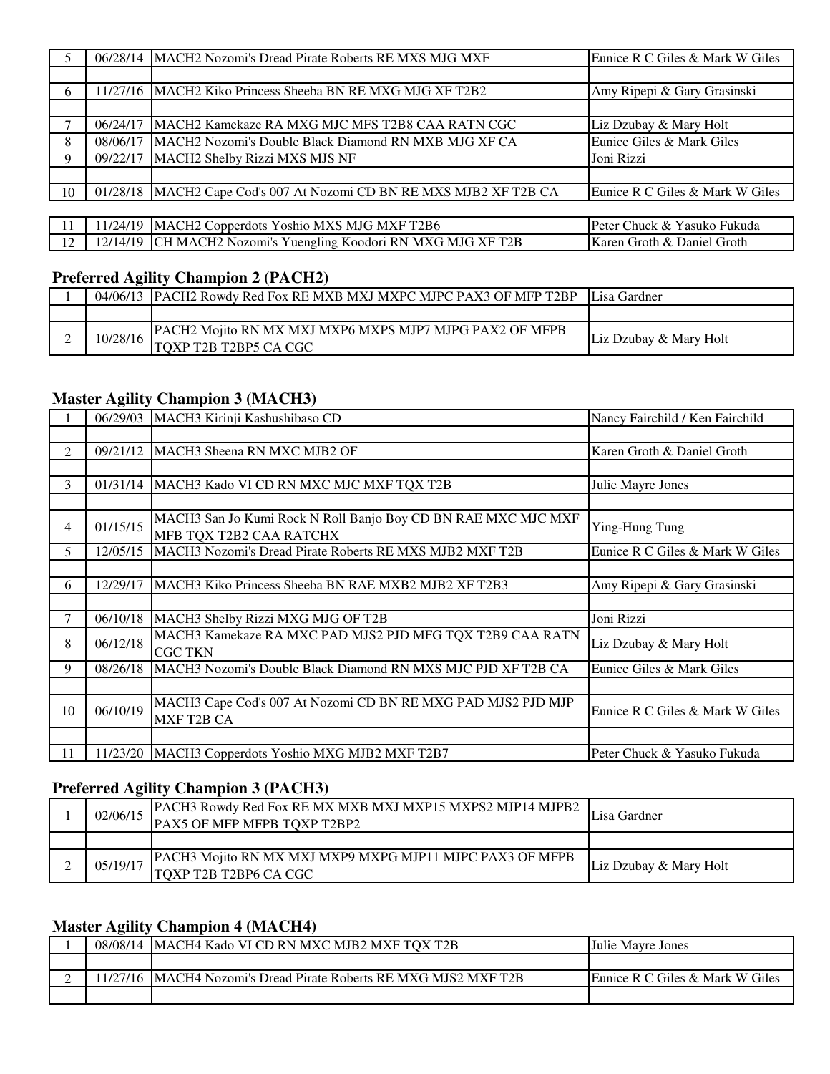| 5.  |          | 06/28/14   MACH2 Nozomi's Dread Pirate Roberts RE MXS MJG MXF       | Eunice R C Giles & Mark W Giles |
|-----|----------|---------------------------------------------------------------------|---------------------------------|
|     |          |                                                                     |                                 |
| 6   |          | 11/27/16   MACH2 Kiko Princess Sheeba BN RE MXG MJG XF T2B2         | Amy Ripepi & Gary Grasinski     |
|     |          |                                                                     |                                 |
|     | 06/24/17 | IMACH2 Kamekaze RA MXG MJC MFS T2B8 CAA RATN CGC                    | Liz Dzubay & Mary Holt          |
| 8   | 08/06/17 | MACH2 Nozomi's Double Black Diamond RN MXB MJG XF CA                | Eunice Giles & Mark Giles       |
| 9   | 09/22/17 | MACH2 Shelby Rizzi MXS MJS NF                                       | Joni Rizzi                      |
|     |          |                                                                     |                                 |
| 10  |          | 01/28/18 MACH2 Cape Cod's 007 At Nozomi CD BN RE MXS MJB2 XF T2B CA | Eunice R C Giles & Mark W Giles |
|     |          |                                                                     |                                 |
| -11 |          | 11/24/19 MACH2 Copperdots Yoshio MXS MJG MXF T2B6                   | Peter Chuck & Yasuko Fukuda     |
| 12  |          | 12/14/19 CH MACH2 Nozomi's Yuengling Koodori RN MXG MJG XF T2B      | Karen Groth & Daniel Groth      |

## **Preferred Agility Champion 2 (PACH2)**

| 04/06/13 | <b>IPACH2 Rowdy Red Fox RE MXB MXJ MXPC MJPC PAX3 OF MFP T2BP</b>                 | Lisa Gardner           |
|----------|-----------------------------------------------------------------------------------|------------------------|
|          |                                                                                   |                        |
| 10/28/16 | IPACH2 Moiito RN MX MXJ MXP6 MXPS MJP7 MJPG PAX2 OF MFPB<br>TOXP T2B T2BP5 CA CGC | Liz Dzubay & Mary Holt |

## **Master Agility Champion 3 (MACH3)**

|                |          | 06/29/03   MACH3 Kirinji Kashushibaso CD                                                     | Nancy Fairchild / Ken Fairchild                                                                                                                                                          |
|----------------|----------|----------------------------------------------------------------------------------------------|------------------------------------------------------------------------------------------------------------------------------------------------------------------------------------------|
|                |          |                                                                                              |                                                                                                                                                                                          |
| $\mathfrak{D}$ | 09/21/12 | MACH3 Sheena RN MXC MJB2 OF                                                                  | Karen Groth & Daniel Groth                                                                                                                                                               |
|                |          |                                                                                              |                                                                                                                                                                                          |
| 3              | 01/31/14 | MACH3 Kado VI CD RN MXC MJC MXF TQX T2B                                                      | Julie Mayre Jones                                                                                                                                                                        |
|                |          |                                                                                              |                                                                                                                                                                                          |
| 4              | 01/15/15 | MACH3 San Jo Kumi Rock N Roll Banjo Boy CD BN RAE MXC MJC MXF                                |                                                                                                                                                                                          |
|                |          | MFB TQX T2B2 CAA RATCHX                                                                      | Ying-Hung Tung<br>Eunice R C Giles & Mark W Giles<br>Amy Ripepi & Gary Grasinski<br>Joni Rizzi<br>Liz Dzubay & Mary Holt<br>Eunice Giles & Mark Giles<br>Eunice R C Giles & Mark W Giles |
| 5.             | 12/05/15 | MACH <sub>3</sub> Nozomi's Dread Pirate Roberts RE MXS MJB <sub>2</sub> MXF T <sub>2</sub> B |                                                                                                                                                                                          |
|                |          |                                                                                              |                                                                                                                                                                                          |
| 6              | 12/29/17 | MACH3 Kiko Princess Sheeba BN RAE MXB2 MJB2 XF T2B3                                          |                                                                                                                                                                                          |
|                |          |                                                                                              |                                                                                                                                                                                          |
| 7              | 06/10/18 | MACH3 Shelby Rizzi MXG MJG OF T2B                                                            |                                                                                                                                                                                          |
| 8              | 06/12/18 | MACH3 Kamekaze RA MXC PAD MJS2 PJD MFG TQX T2B9 CAA RATN                                     |                                                                                                                                                                                          |
|                |          | <b>CGC TKN</b>                                                                               |                                                                                                                                                                                          |
| 9              | 08/26/18 | MACH3 Nozomi's Double Black Diamond RN MXS MJC PJD XF T2B CA                                 |                                                                                                                                                                                          |
|                |          |                                                                                              |                                                                                                                                                                                          |
| 10             | 06/10/19 | MACH3 Cape Cod's 007 At Nozomi CD BN RE MXG PAD MJS2 PJD MJP<br>MXF T2B CA                   |                                                                                                                                                                                          |
|                |          |                                                                                              |                                                                                                                                                                                          |
| -11            | 11/23/20 | MACH3 Copperdots Yoshio MXG MJB2 MXF T2B7                                                    | Peter Chuck & Yasuko Fukuda                                                                                                                                                              |

# **Preferred Agility Champion 3 (PACH3)**

| 02/06/15 | PACH3 Rowdy Red Fox RE MX MXB MXJ MXP15 MXPS2 MJP14 MJPB2<br>PAX5 OF MFP MFPB TQXP T2BP2 | Lisa Gardner           |
|----------|------------------------------------------------------------------------------------------|------------------------|
|          |                                                                                          |                        |
| 05/19/17 | PACH3 Mojito RN MX MXJ MXP9 MXPG MJP11 MJPC PAX3 OF MFPB<br>TOXP T2B T2BP6 CA CGC        | Liz Dzubay & Mary Holt |

## **Master Agility Champion 4 (MACH4)**

| 08/08/14 | IMACH4 Kado VI CD RN MXC MJB2 MXF TOX T2B                | <b>Uulie Mayre Jones</b>        |
|----------|----------------------------------------------------------|---------------------------------|
|          |                                                          |                                 |
|          | IMACH4 Nozomi's Dread Pirate Roberts RE MXG MJS2 MXF T2B | Eunice R C Giles & Mark W Giles |
|          |                                                          |                                 |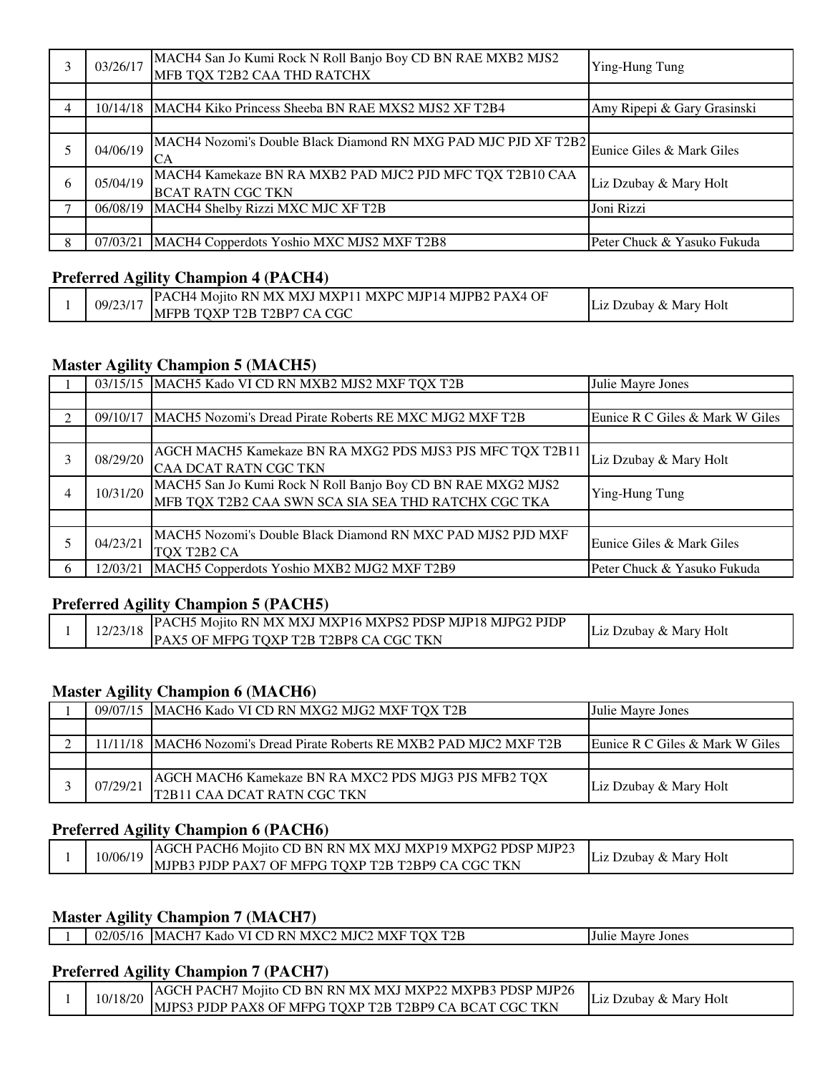|   | 03/26/17 | MACH4 San Jo Kumi Rock N Roll Banjo Boy CD BN RAE MXB2 MJS2<br>MFB TQX T2B2 CAA THD RATCHX     | Ying-Hung Tung              |
|---|----------|------------------------------------------------------------------------------------------------|-----------------------------|
|   |          |                                                                                                |                             |
| 4 |          | 10/14/18 MACH4 Kiko Princess Sheeba BN RAE MXS2 MJS2 XF T2B4                                   | Amy Ripepi & Gary Grasinski |
|   |          |                                                                                                |                             |
|   | 04/06/19 | MACH4 Nozomi's Double Black Diamond RN MXG PAD MJC PJD XF T2B2 Eunice Giles & Mark Giles<br>CA |                             |
| 6 | 05/04/19 | MACH4 Kamekaze BN RA MXB2 PAD MJC2 PJD MFC TQX T2B10 CAA<br><b>BCAT RATN CGC TKN</b>           | Liz Dzubay & Mary Holt      |
|   | 06/08/19 | MACH4 Shelby Rizzi MXC MJC XF T2B                                                              | Joni Rizzi                  |
|   |          |                                                                                                |                             |
| 8 | 07/03/21 | MACH4 Copperdots Yoshio MXC MJS2 MXF T2B8                                                      | Peter Chuck & Yasuko Fukuda |

#### **Preferred Agility Champion 4 (PACH4)**

|  | MJP14<br>PAX4<br>OF<br>MJPB2<br><b>MXPC</b><br><b>PAC</b><br>$^{\circ}$ MX.<br><b>MXPL</b><br>-M X<br>Monto RN<br>`Н4.<br>09/23/17 | $\sim$                             |
|--|------------------------------------------------------------------------------------------------------------------------------------|------------------------------------|
|  | . CGC<br>T <sub>2</sub> BP <sub>7</sub><br>TOXP<br><b>MFPB</b><br>T2B                                                              | Holt<br>√ Mary<br>. Dzubav<br>LJL. |

#### **Master Agility Champion 5 (MACH5)**

|    |          | 03/15/15 MACH5 Kado VI CD RN MXB2 MJS2 MXF TQX T2B                 | Julie Mayre Jones               |
|----|----------|--------------------------------------------------------------------|---------------------------------|
|    |          |                                                                    |                                 |
| ◠  |          | 09/10/17   MACH5 Nozomi's Dread Pirate Roberts RE MXC MJG2 MXF T2B | Eunice R C Giles & Mark W Giles |
|    |          |                                                                    |                                 |
| 3  | 08/29/20 | AGCH MACH5 Kamekaze BN RA MXG2 PDS MJS3 PJS MFC TQX T2B11          | Liz Dzubay & Mary Holt          |
|    |          | CAA DCAT RATN CGC TKN                                              |                                 |
| 4  | 10/31/20 | MACH5 San Jo Kumi Rock N Roll Banjo Boy CD BN RAE MXG2 MJS2        | Ying-Hung Tung                  |
|    |          | MFB TQX T2B2 CAA SWN SCA SIA SEA THD RATCHX CGC TKA                |                                 |
|    |          |                                                                    |                                 |
|    | 04/23/21 | MACH5 Nozomi's Double Black Diamond RN MXC PAD MJS2 PJD MXF        | Eunice Giles & Mark Giles       |
|    |          | TQX T2B2 CA                                                        |                                 |
| -6 | 12/03/21 | MACH5 Copperdots Yoshio MXB2 MJG2 MXF T2B9                         | Peter Chuck & Yasuko Fukuda     |

#### **Preferred Agility Champion 5 (PACH5)**

|  | 12/23/18 | PACH5 Mojito RN MX MXJ MXP16 MXPS2 PDSP MJP18 MJPG2 PJDP | Liz Dzubay & Mary Holt |
|--|----------|----------------------------------------------------------|------------------------|
|  |          | PAX5 OF MFPG TOXP T2B T2BP8 CA CGC TKN                   |                        |

#### **Master Agility Champion 6 (MACH6)**

|          | 09/07/15   MACH6 Kado VI CD RN MXG2 MJG2 MXF TQX T2B                                | Julie Mayre Jones               |
|----------|-------------------------------------------------------------------------------------|---------------------------------|
|          |                                                                                     |                                 |
|          | 11/11/18 MACH6 Nozomi's Dread Pirate Roberts RE MXB2 PAD MJC2 MXF T2B               | Eunice R C Giles & Mark W Giles |
|          |                                                                                     |                                 |
| 07/29/21 | AGCH MACH6 Kamekaze BN RA MXC2 PDS MJG3 PJS MFB2 TQX<br>T2B11 CAA DCAT RATN CGC TKN | Liz Dzubay & Mary Holt          |

## **Preferred Agility Champion 6 (PACH6)**

| LAGCH PACH6 Mojito CD BN RN MX MXJ MXP19 MXPG2 PDSP MJP23<br>10/06/19<br>: Dzubav & Marv Holt<br>MJPB3 PJDP PAX7 OF MFPG TOXP T2B T2BP9 CA CGC TKN |  |
|----------------------------------------------------------------------------------------------------------------------------------------------------|--|
|----------------------------------------------------------------------------------------------------------------------------------------------------|--|

## **Master Agility Champion 7 (MACH7)**

|  |  | 02/05/16  MACH7 Kado VI CD RN MXC2 MJC2 MXF TQX T2B | <b>Julie Mayre Jones</b> |
|--|--|-----------------------------------------------------|--------------------------|
|--|--|-----------------------------------------------------|--------------------------|

#### **Preferred Agility Champion 7 (PACH7)**

| 10/18/20 | IAGCH PACH7 Mojito CD BN RN MX MXJ MXP22 MXPB3 PDSP MJP26 | Liz Dzubay & Mary Holt |
|----------|-----------------------------------------------------------|------------------------|
|          | MJPS3 PJDP PAX8 OF MFPG TQXP T2B T2BP9 CA BCAT CGC TKN    |                        |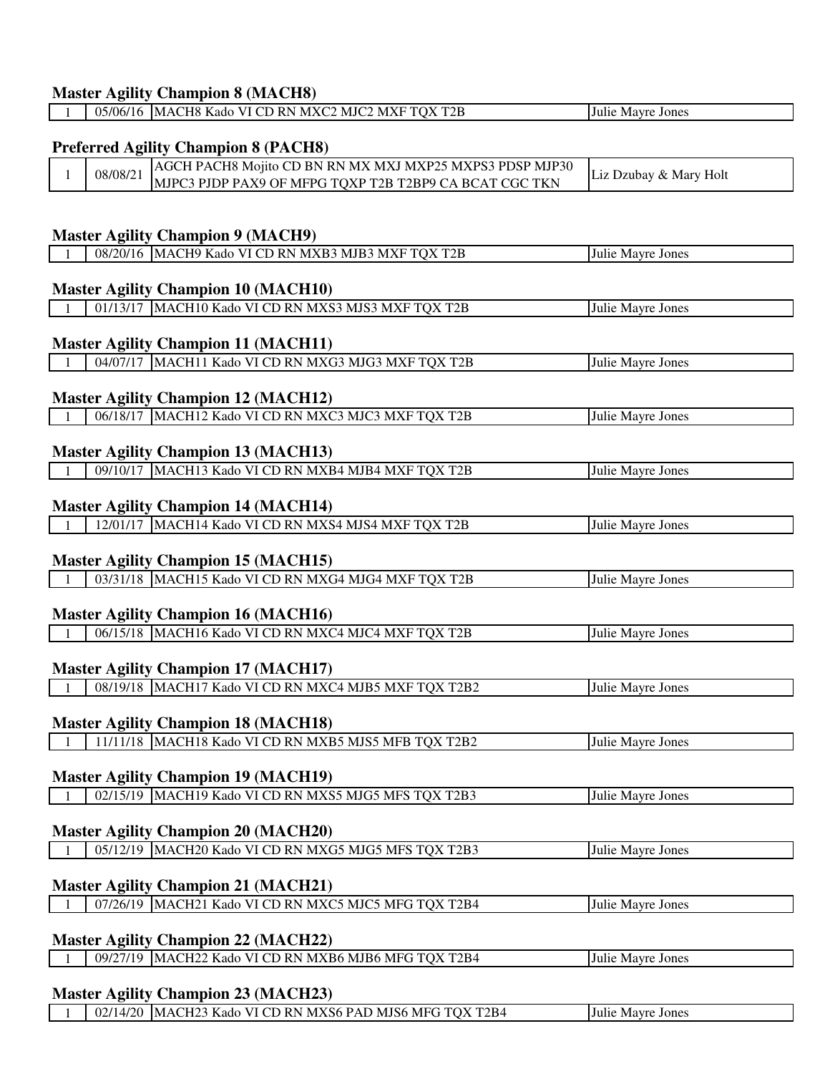#### **Master Agility Champion 8 (MACH8)** 1 05/06/16 MACH8 Kado VI CD RN MXC2 MJC2 MXF TQX T2B Julie Mayre Jones

| <b>Preferred Agility Champion 8 (PACH8)</b> |                                            |                                                          |                        |  |
|---------------------------------------------|--------------------------------------------|----------------------------------------------------------|------------------------|--|
| $\mathbf{1}$                                | 08/08/21                                   | AGCH PACH8 Mojito CD BN RN MX MXJ MXP25 MXPS3 PDSP MJP30 | Liz Dzubay & Mary Holt |  |
|                                             |                                            | MJPC3 PJDP PAX9 OF MFPG TQXP T2B T2BP9 CA BCAT CGC TKN   |                        |  |
|                                             |                                            |                                                          |                        |  |
|                                             |                                            |                                                          |                        |  |
|                                             |                                            | <b>Master Agility Champion 9 (MACH9)</b>                 |                        |  |
|                                             |                                            | 08/20/16 MACH9 Kado VI CD RN MXB3 MJB3 MXF TQX T2B       | Julie Mayre Jones      |  |
|                                             |                                            |                                                          |                        |  |
|                                             |                                            | <b>Master Agility Champion 10 (MACH10)</b>               |                        |  |
|                                             |                                            | 01/13/17 MACH10 Kado VI CD RN MXS3 MJS3 MXF TQX T2B      | Julie Mayre Jones      |  |
|                                             |                                            |                                                          |                        |  |
|                                             |                                            | <b>Master Agility Champion 11 (MACH11)</b>               |                        |  |
|                                             |                                            | 04/07/17 MACH11 Kado VI CD RN MXG3 MJG3 MXF TQX T2B      | Julie Mayre Jones      |  |
|                                             |                                            |                                                          |                        |  |
|                                             |                                            | <b>Master Agility Champion 12 (MACH12)</b>               |                        |  |
|                                             |                                            | 06/18/17 MACH12 Kado VI CD RN MXC3 MJC3 MXF TQX T2B      | Julie Mayre Jones      |  |
|                                             |                                            |                                                          |                        |  |
|                                             |                                            | <b>Master Agility Champion 13 (MACH13)</b>               |                        |  |
|                                             |                                            | 09/10/17 MACH13 Kado VI CD RN MXB4 MJB4 MXF TQX T2B      | Julie Mayre Jones      |  |
|                                             |                                            |                                                          |                        |  |
|                                             |                                            | <b>Master Agility Champion 14 (MACH14)</b>               |                        |  |
|                                             |                                            | 12/01/17 MACH14 Kado VI CD RN MXS4 MJS4 MXF TQX T2B      | Julie Mayre Jones      |  |
|                                             |                                            |                                                          |                        |  |
|                                             |                                            | <b>Master Agility Champion 15 (MACH15)</b>               |                        |  |
|                                             |                                            | 03/31/18 MACH15 Kado VI CD RN MXG4 MJG4 MXF TQX T2B      | Julie Mayre Jones      |  |
|                                             |                                            |                                                          |                        |  |
|                                             |                                            | <b>Master Agility Champion 16 (MACH16)</b>               |                        |  |
|                                             |                                            | 06/15/18 MACH16 Kado VI CD RN MXC4 MJC4 MXF TQX T2B      | Julie Mayre Jones      |  |
|                                             |                                            |                                                          |                        |  |
| <b>Master Agility Champion 17 (MACH17)</b>  |                                            |                                                          |                        |  |
|                                             |                                            | 08/19/18   MACH17 Kado VI CD RN MXC4 MJB5 MXF TQX T2B2   | Julie Mayre Jones      |  |
|                                             |                                            |                                                          |                        |  |
|                                             |                                            | <b>Master Agility Champion 18 (MACH18)</b>               |                        |  |
| $1 \quad$                                   |                                            | 11/11/18 MACH18 Kado VI CD RN MXB5 MJS5 MFB TQX T2B2     | Julie Mayre Jones      |  |
|                                             |                                            |                                                          |                        |  |
|                                             |                                            | <b>Master Agility Champion 19 (MACH19)</b>               |                        |  |
|                                             |                                            | 02/15/19 MACH19 Kado VI CD RN MXS5 MJG5 MFS TQX T2B3     | Julie Mayre Jones      |  |
|                                             |                                            |                                                          |                        |  |
|                                             |                                            | <b>Master Agility Champion 20 (MACH20)</b>               |                        |  |
|                                             |                                            | 05/12/19 MACH20 Kado VI CD RN MXG5 MJG5 MFS TQX T2B3     | Julie Mayre Jones      |  |
|                                             |                                            |                                                          |                        |  |
| <b>Master Agility Champion 21 (MACH21)</b>  |                                            |                                                          |                        |  |
|                                             |                                            | 07/26/19 MACH21 Kado VI CD RN MXC5 MJC5 MFG TQX T2B4     | Julie Mayre Jones      |  |
|                                             |                                            |                                                          |                        |  |
|                                             | <b>Master Agility Champion 22 (MACH22)</b> |                                                          |                        |  |
|                                             |                                            |                                                          |                        |  |

1 09/27/19 MACH22 Kado VI CD RN MXB6 MJB6 MFG TQX T2B4 Julie Mayre Jones

## **Master Agility Champion 23 (MACH23)**

1 02/14/20 MACH23 Kado VI CD RN MXS6 PAD MJS6 MFG TQX T2B4 Julie Mayre Jones